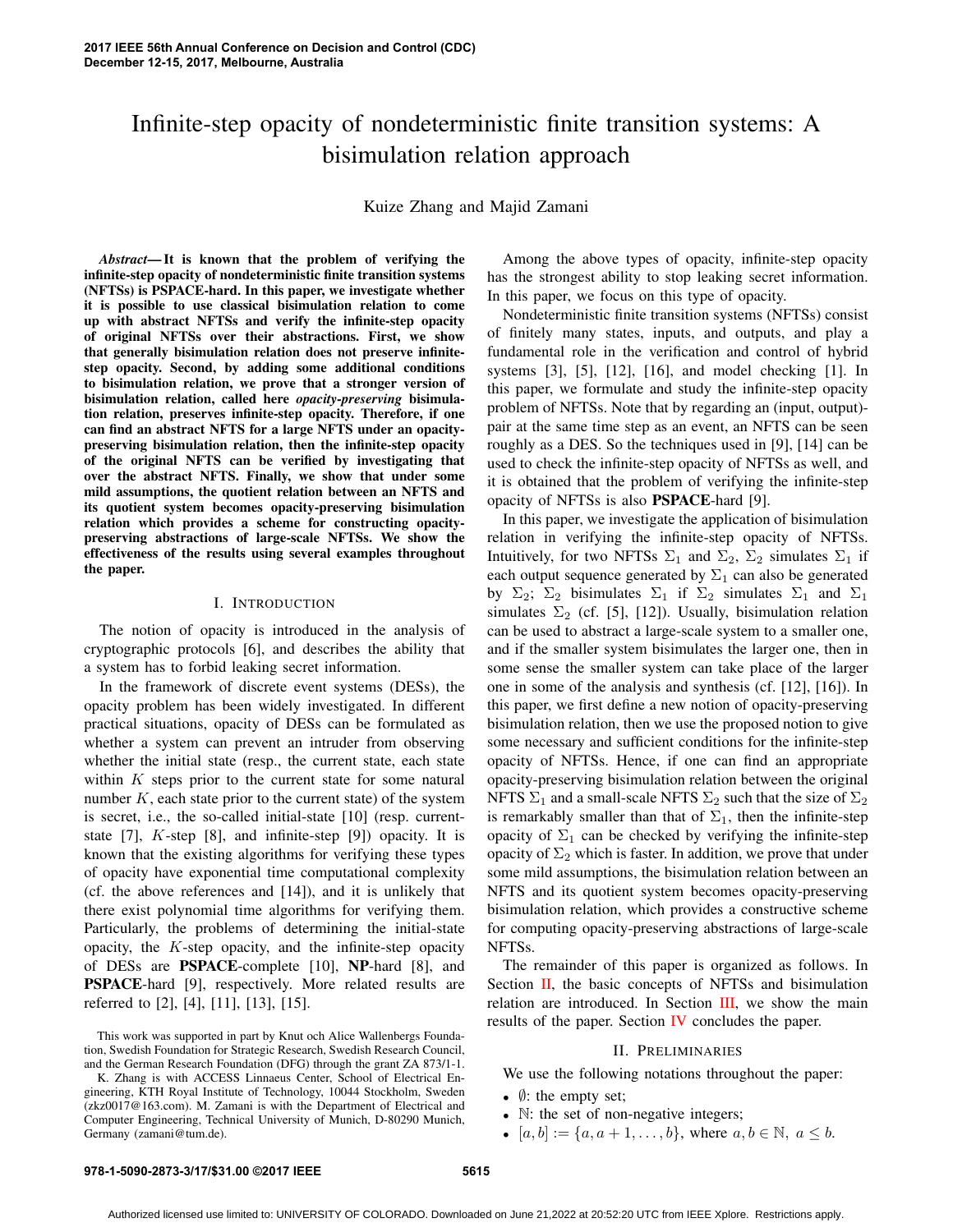# Infinite-step opacity of nondeterministic finite transition systems: A bisimulation relation approach

Kuize Zhang and Majid Zamani

*Abstract*— It is known that the problem of verifying the infinite-step opacity of nondeterministic finite transition systems (NFTSs) is PSPACE-hard. In this paper, we investigate whether it is possible to use classical bisimulation relation to come up with abstract NFTSs and verify the infinite-step opacity of original NFTSs over their abstractions. First, we show that generally bisimulation relation does not preserve infinitestep opacity. Second, by adding some additional conditions to bisimulation relation, we prove that a stronger version of bisimulation relation, called here *opacity-preserving* bisimulation relation, preserves infinite-step opacity. Therefore, if one can find an abstract NFTS for a large NFTS under an opacitypreserving bisimulation relation, then the infinite-step opacity of the original NFTS can be verified by investigating that over the abstract NFTS. Finally, we show that under some mild assumptions, the quotient relation between an NFTS and its quotient system becomes opacity-preserving bisimulation relation which provides a scheme for constructing opacitypreserving abstractions of large-scale NFTSs. We show the effectiveness of the results using several examples throughout the paper.

#### I. INTRODUCTION

The notion of opacity is introduced in the analysis of cryptographic protocols [6], and describes the ability that a system has to forbid leaking secret information.

In the framework of discrete event systems (DESs), the opacity problem has been widely investigated. In different practical situations, opacity of DESs can be formulated as whether a system can prevent an intruder from observing whether the initial state (resp., the current state, each state within  $K$  steps prior to the current state for some natural number  $K$ , each state prior to the current state) of the system is secret, i.e., the so-called initial-state [10] (resp. currentstate [7], K-step [8], and infinite-step [9]) opacity. It is known that the existing algorithms for verifying these types of opacity have exponential time computational complexity (cf. the above references and [14]), and it is unlikely that there exist polynomial time algorithms for verifying them. Particularly, the problems of determining the initial-state opacity, the  $K$ -step opacity, and the infinite-step opacity of DESs are PSPACE-complete [10], NP-hard [8], and PSPACE-hard [9], respectively. More related results are referred to [2], [4], [11], [13], [15].

Among the above types of opacity, infinite-step opacity has the strongest ability to stop leaking secret information. In this paper, we focus on this type of opacity.

Nondeterministic finite transition systems (NFTSs) consist of finitely many states, inputs, and outputs, and play a fundamental role in the verification and control of hybrid systems [3], [5], [12], [16], and model checking [1]. In this paper, we formulate and study the infinite-step opacity problem of NFTSs. Note that by regarding an (input, output) pair at the same time step as an event, an NFTS can be seen roughly as a DES. So the techniques used in [9], [14] can be used to check the infinite-step opacity of NFTSs as well, and it is obtained that the problem of verifying the infinite-step opacity of NFTSs is also PSPACE-hard [9].

In this paper, we investigate the application of bisimulation relation in verifying the infinite-step opacity of NFTSs. Intuitively, for two NFTSs  $\Sigma_1$  and  $\Sigma_2$ ,  $\Sigma_2$  simulates  $\Sigma_1$  if each output sequence generated by  $\Sigma_1$  can also be generated by  $\Sigma_2$ ;  $\Sigma_2$  bisimulates  $\Sigma_1$  if  $\Sigma_2$  simulates  $\Sigma_1$  and  $\Sigma_1$ simulates  $\Sigma_2$  (cf. [5], [12]). Usually, bisimulation relation can be used to abstract a large-scale system to a smaller one, and if the smaller system bisimulates the larger one, then in some sense the smaller system can take place of the larger one in some of the analysis and synthesis (cf. [12], [16]). In this paper, we first define a new notion of opacity-preserving bisimulation relation, then we use the proposed notion to give some necessary and sufficient conditions for the infinite-step opacity of NFTSs. Hence, if one can find an appropriate opacity-preserving bisimulation relation between the original NFTS  $\Sigma_1$  and a small-scale NFTS  $\Sigma_2$  such that the size of  $\Sigma_2$ is remarkably smaller than that of  $\Sigma_1$ , then the infinite-step opacity of  $\Sigma_1$  can be checked by verifying the infinite-step opacity of  $\Sigma_2$  which is faster. In addition, we prove that under some mild assumptions, the bisimulation relation between an NFTS and its quotient system becomes opacity-preserving bisimulation relation, which provides a constructive scheme for computing opacity-preserving abstractions of large-scale NFTSs.

The remainder of this paper is organized as follows. In Section  $II$ , the basic concepts of NFTSs and bisimulation relation are introduced. In Section III, we show the main results of the paper. Section IV concludes the paper.

## II. PRELIMINARIES

We use the following notations throughout the paper:

- $\emptyset$ : the empty set;
- N: the set of non-negative integers;
- $[a, b] := \{a, a + 1, \ldots, b\}$ , where  $a, b \in \mathbb{N}$ ,  $a \leq b$ .

This work was supported in part by Knut och Alice Wallenbergs Foundation, Swedish Foundation for Strategic Research, Swedish Research Council, and the German Research Foundation (DFG) through the grant ZA 873/1-1.

K. Zhang is with ACCESS Linnaeus Center, School of Electrical Engineering, KTH Royal Institute of Technology, 10044 Stockholm, Sweden (zkz0017@163.com). M. Zamani is with the Department of Electrical and Computer Engineering, Technical University of Munich, D-80290 Munich, Germany (zamani@tum.de).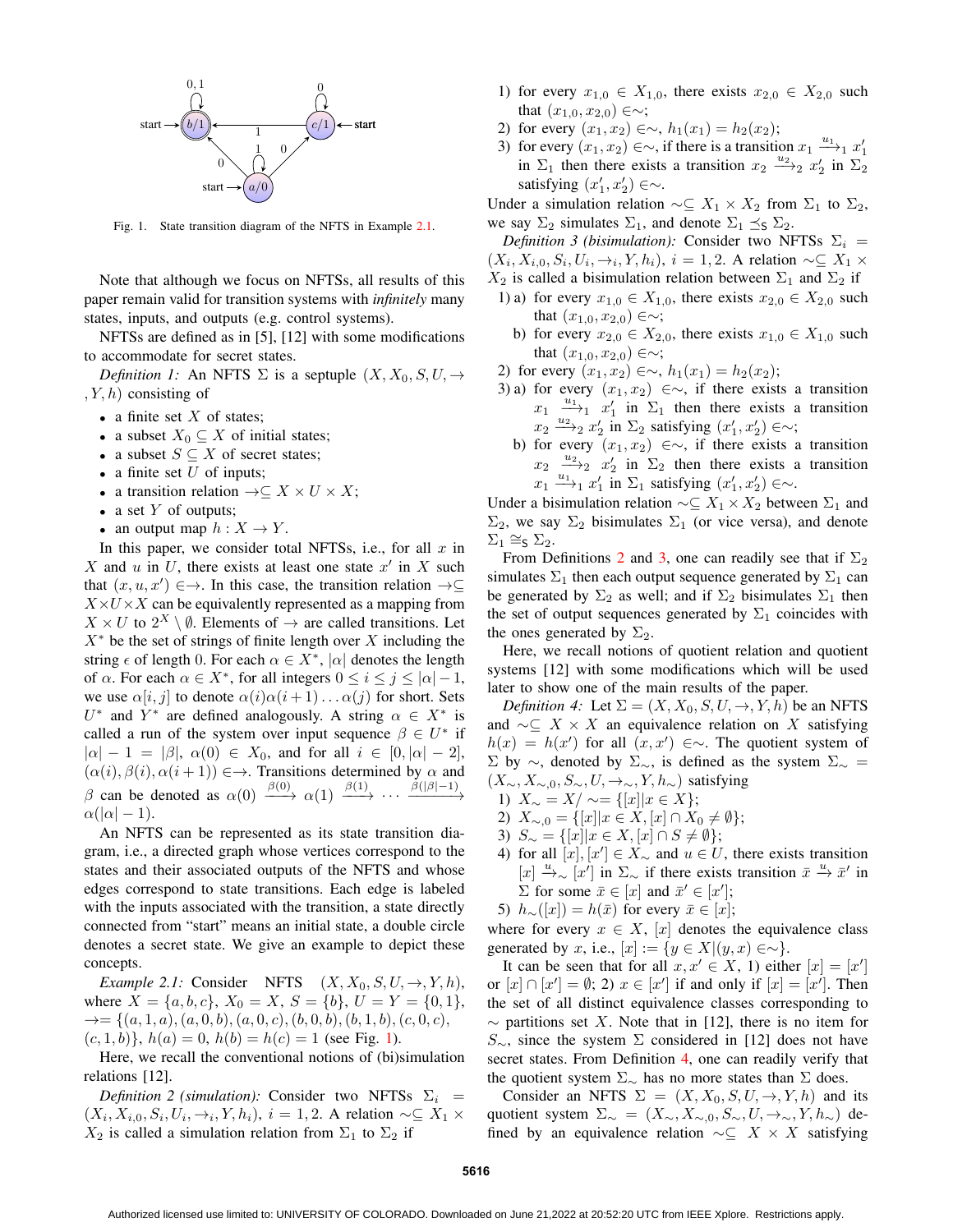

Fig. 1. State transition diagram of the NFTS in Example 2.1.

Note that although we focus on NFTSs, all results of this paper remain valid for transition systems with *infinitely* many states, inputs, and outputs (e.g. control systems).

NFTSs are defined as in [5], [12] with some modifications to accommodate for secret states.

*Definition 1:* An NFTS  $\Sigma$  is a septuple  $(X, X_0, S, U, \rightarrow$  $(Y, h)$  consisting of

- a finite set  $X$  of states;
- a subset  $X_0 \subseteq X$  of initial states;
- a subset  $S \subseteq X$  of secret states;
- a finite set  $U$  of inputs;
- a transition relation  $\rightarrow \subseteq X \times U \times X$ ;
- a set  $Y$  of outputs;
- an output map  $h: X \to Y$ .

In this paper, we consider total NFTSs, i.e., for all  $x$  in X and u in U, there exists at least one state  $x'$  in X such that  $(x, u, x') \in \rightarrow$ . In this case, the transition relation  $\rightarrow \subseteq$  $X\times U\times X$  can be equivalently represented as a mapping from  $X \times U$  to  $2^X \setminus \emptyset$ . Elements of  $\rightarrow$  are called transitions. Let  $X^*$  be the set of strings of finite length over X including the string  $\epsilon$  of length 0. For each  $\alpha \in X^*$ ,  $|\alpha|$  denotes the length of  $\alpha$ . For each  $\alpha \in X^*$ , for all integers  $0 \le i \le j \le |\alpha|-1$ , we use  $\alpha[i, j]$  to denote  $\alpha(i)\alpha(i+1)\dots\alpha(j)$  for short. Sets  $U^*$  and  $Y^*$  are defined analogously. A string  $\alpha \in X^*$  is called a run of the system over input sequence  $\beta \in U^*$  if  $|\alpha| - 1 = |\beta|, \ \alpha(0) \in X_0$ , and for all  $i \in [0, |\alpha| - 2]$ ,  $(\alpha(i), \beta(i), \alpha(i+1)) \in \rightarrow$ . Transitions determined by  $\alpha$  and  $\beta$  can be denoted as  $\alpha(0) \xrightarrow{\beta(0)} \alpha(1) \xrightarrow{\beta(1)} \cdots \xrightarrow{\beta(|\beta|-1)}$  $\alpha(|\alpha|-1)$ .

An NFTS can be represented as its state transition diagram, i.e., a directed graph whose vertices correspond to the states and their associated outputs of the NFTS and whose edges correspond to state transitions. Each edge is labeled with the inputs associated with the transition, a state directly connected from "start" means an initial state, a double circle denotes a secret state. We give an example to depict these concepts.

*Example 2.1:* Consider NFTS  $(X, X_0, S, U, \rightarrow, Y, h)$ , where  $X = \{a, b, c\}$ ,  $X_0 = X$ ,  $S = \{b\}$ ,  $U = Y = \{0, 1\}$ ,  $\rightarrow = \{(a, 1, a), (a, 0, b), (a, 0, c), (b, 0, b), (b, 1, b), (c, 0, c),\}$  $(c, 1, b)$ ,  $h(a) = 0$ ,  $h(b) = h(c) = 1$  (see Fig. 1).

Here, we recall the conventional notions of (bi)simulation relations [12].

*Definition 2 (simulation):* Consider two NFTSs  $\Sigma_i$  =  $(X_i, X_{i,0}, S_i, U_i, \rightarrow_i, Y, h_i), i = 1, 2$ . A relation ~⊆  $X_1 \times$  $X_2$  is called a simulation relation from  $\Sigma_1$  to  $\Sigma_2$  if

- 1) for every  $x_{1,0} \in X_{1,0}$ , there exists  $x_{2,0} \in X_{2,0}$  such that  $(x_{1,0}, x_{2,0}) \in \sim;$
- 2) for every  $(x_1, x_2) \in \sim, h_1(x_1) = h_2(x_2);$
- 3) for every  $(x_1, x_2) \in \sim$ , if there is a transition  $x_1 \xrightarrow{u_1} x_1'$ in  $\Sigma_1$  then there exists a transition  $x_2 \xrightarrow{u_2} x'_2$  in  $\Sigma_2$ satisfying  $(x'_1, x'_2) \in \sim$ .

Under a simulation relation  $\sim \subseteq X_1 \times X_2$  from  $\Sigma_1$  to  $\Sigma_2$ , we say  $\Sigma_2$  simulates  $\Sigma_1$ , and denote  $\Sigma_1 \preceq_{\mathsf{S}} \Sigma_2$ .

*Definition 3 (bisimulation):* Consider two NFTSs  $\Sigma_i$  =  $(X_i, X_{i,0}, S_i, U_i, \rightarrow_i, Y, h_i), i = 1, 2$ . A relation ~⊆  $X_1 \times$  $X_2$  is called a bisimulation relation between  $\Sigma_1$  and  $\Sigma_2$  if

- 1) a) for every  $x_{1,0} \in X_{1,0}$ , there exists  $x_{2,0} \in X_{2,0}$  such that  $(x_{1,0}, x_{2,0}) \in \sim;$ 
	- b) for every  $x_{2,0} \in X_{2,0}$ , there exists  $x_{1,0} \in X_{1,0}$  such that  $(x_{1,0}, x_{2,0}) \in \sim;$
- 2) for every  $(x_1, x_2) \in \sim, h_1(x_1) = h_2(x_2);$
- 3) a) for every  $(x_1, x_2) \in \sim$ , if there exists a transition  $x_1 \xrightarrow{u_1} x_1'$  in  $\Sigma_1$  then there exists a transition  $x_2 \stackrel{u_2}{\longrightarrow}_2 x_2'$  in  $\Sigma_2$  satisfying  $(x_1', x_2') \in \sim;$ 
	- b) for every  $(x_1, x_2) \in \sim$ , if there exists a transition  $x_2 \stackrel{u_2}{\longrightarrow} x_2'$  in  $\Sigma_2$  then there exists a transition  $x_1 \stackrel{u_1}{\longrightarrow}_1 x_1'$  in  $\Sigma_1$  satisfying  $(x_1', x_2') \in \sim$ .

Under a bisimulation relation  $\sim \subseteq X_1 \times X_2$  between  $\Sigma_1$  and  $\Sigma_2$ , we say  $\Sigma_2$  bisimulates  $\Sigma_1$  (or vice versa), and denote  $\Sigma_1 \cong_S \Sigma_2$ .

From Definitions 2 and 3, one can readily see that if  $\Sigma_2$ simulates  $\Sigma_1$  then each output sequence generated by  $\Sigma_1$  can be generated by  $\Sigma_2$  as well; and if  $\Sigma_2$  bisimulates  $\Sigma_1$  then the set of output sequences generated by  $\Sigma_1$  coincides with the ones generated by  $\Sigma_2$ .

Here, we recall notions of quotient relation and quotient systems [12] with some modifications which will be used later to show one of the main results of the paper.

*Definition 4:* Let  $\Sigma = (X, X_0, S, U, \rightarrow, Y, h)$  be an NFTS and  $\sim \subseteq X \times X$  an equivalence relation on X satisfying  $h(x) = h(x')$  for all  $(x, x') \in \sim$ . The quotient system of Σ by  $\sim$ , denoted by  $\Sigma_{\sim}$ , is defined as the system  $\Sigma_{\sim}$  =  $(X_{\sim}, X_{\sim,0}, S_{\sim}, U, \rightarrow_{\sim}, Y, h_{\sim})$  satisfying

- 1)  $X_{\sim} = X / \sim = \{ [x] | x \in X \};$
- 2)  $X_{\sim,0} = \{ [x] | x \in X, [x] \cap X_0 \neq \emptyset \};$
- 3)  $S_{\sim} = \{ [x] | x \in X, [x] \cap S \neq \emptyset \};$
- 4) for all  $[x], [x'] \in X_{\sim}$  and  $u \in U$ , there exists transition  $[x] \xrightarrow{u} [x']$  in  $\Sigma_{\sim}$  if there exists transition  $\bar{x} \xrightarrow{u} \bar{x}'$  in  $\Sigma$  for some  $\bar{x} \in [x]$  and  $\bar{x}' \in [x']$ ;
- 5)  $h_{\sim}([x]) = h(\bar{x})$  for every  $\bar{x} \in [x];$

where for every  $x \in X$ , [x] denotes the equivalence class generated by x, i.e.,  $[x] := \{y \in X | (y, x) \in \sim\}.$ 

It can be seen that for all  $x, x' \in X$ , 1) either  $[x] = [x']$ or  $[x] \cap [x'] = \emptyset$ ; 2)  $x \in [x']$  if and only if  $[x] = [x']$ . Then the set of all distinct equivalence classes corresponding to  $\sim$  partitions set X. Note that in [12], there is no item for S∼, since the system  $\Sigma$  considered in [12] does not have secret states. From Definition 4, one can readily verify that the quotient system  $\Sigma_{\sim}$  has no more states than  $\Sigma$  does.

Consider an NFTS  $\Sigma = (X, X_0, S, U, \rightarrow, Y, h)$  and its quotient system  $\Sigma \sim = (X_{\sim}, X_{\sim,0}, S_{\sim}, U, \rightarrow_{\sim}, Y, h_{\sim})$  defined by an equivalence relation  $\sim \subseteq X \times X$  satisfying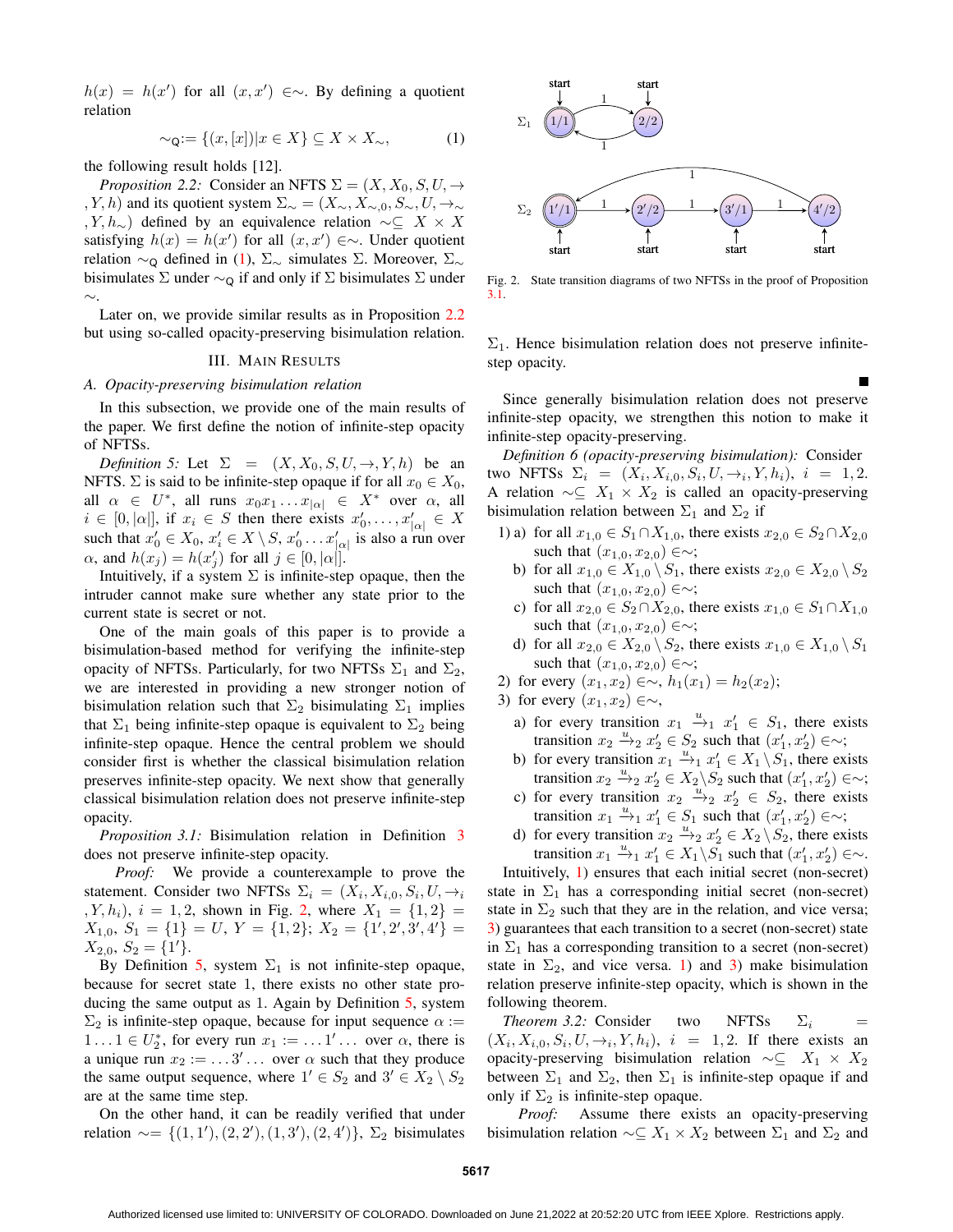$h(x) = h(x')$  for all  $(x, x') \in \sim$ . By defining a quotient relation

$$
\sim_{\mathsf{Q}} := \{(x, [x]) | x \in X\} \subseteq X \times X_{\sim}, \tag{1}
$$

the following result holds [12].

*Proposition 2.2:* Consider an NFTS  $\Sigma = (X, X_0, S, U, \rightarrow$ , Y, h) and its quotient system  $\Sigma \sim = (X_{\sim}, X_{\sim,0}, S_{\sim}, U, \rightarrow_{\sim}$ ,  $Y, h\sim$ ) defined by an equivalence relation  $\sim \subseteq X \times X$ satisfying  $h(x) = h(x')$  for all  $(x, x') \in \sim$ . Under quotient relation  $\sim$ <sub>0</sub> defined in (1),  $\Sigma$ <sub>∼</sub> simulates Σ. Moreover,  $\Sigma$ <sub>∼</sub> bisimulates  $\Sigma$  under  $\sim_{\Omega}$  if and only if  $\Sigma$  bisimulates  $\Sigma$  under ∼.

Later on, we provide similar results as in Proposition 2.2 but using so-called opacity-preserving bisimulation relation.

# III. MAIN RESULTS

## *A. Opacity-preserving bisimulation relation*

In this subsection, we provide one of the main results of the paper. We first define the notion of infinite-step opacity of NFTSs.

*Definition 5:* Let  $\Sigma = (X, X_0, S, U, \rightarrow, Y, h)$  be an NFTS.  $\Sigma$  is said to be infinite-step opaque if for all  $x_0 \in X_0$ , all  $\alpha \in U^*$ , all runs  $x_0 x_1 \dots x_{|\alpha|} \in X^*$  over  $\alpha$ , all  $i \in [0, |\alpha|]$ , if  $x_i \in S$  then there exists  $x'_0, \dots, x'_{|\alpha|} \in X$ such that  $x'_0 \in X_0$ ,  $x'_i \in X \setminus S$ ,  $x'_0 \dots x'_{|\alpha|}$  is also a run over  $\alpha$ , and  $h(x_j) = h(x'_j)$  for all  $j \in [0, |\alpha|]$ .

Intuitively, if a system  $\Sigma$  is infinite-step opaque, then the intruder cannot make sure whether any state prior to the current state is secret or not.

One of the main goals of this paper is to provide a bisimulation-based method for verifying the infinite-step opacity of NFTSs. Particularly, for two NFTSs  $\Sigma_1$  and  $\Sigma_2$ , we are interested in providing a new stronger notion of bisimulation relation such that  $\Sigma_2$  bisimulating  $\Sigma_1$  implies that  $\Sigma_1$  being infinite-step opaque is equivalent to  $\Sigma_2$  being infinite-step opaque. Hence the central problem we should consider first is whether the classical bisimulation relation preserves infinite-step opacity. We next show that generally classical bisimulation relation does not preserve infinite-step opacity.

*Proposition 3.1:* Bisimulation relation in Definition 3 does not preserve infinite-step opacity.

*Proof:* We provide a counterexample to prove the statement. Consider two NFTSs  $\Sigma_i = (X_i, X_{i,0}, S_i, U, \rightarrow_i$ ,  $Y, h_i$ ,  $i = 1, 2$ , shown in Fig. 2, where  $X_1 = \{1, 2\}$  $X_{1,0}, S_1 = \{1\} = U, Y = \{1,2\}; X_2 = \{1',2',3',4'\} =$  $X_{2,0}, S_2 = \{1'\}.$ 

By Definition 5, system  $\Sigma_1$  is not infinite-step opaque, because for secret state 1, there exists no other state producing the same output as 1. Again by Definition 5, system  $\Sigma_2$  is infinite-step opaque, because for input sequence  $\alpha$  :=  $1 \dots 1 \in U_2^*$ , for every run  $x_1 := \dots 1' \dots$  over  $\alpha$ , there is a unique run  $x_2 := \dots 3' \dots$  over  $\alpha$  such that they produce the same output sequence, where  $1' \in S_2$  and  $3' \in X_2 \setminus S_2$ are at the same time step.

On the other hand, it can be readily verified that under relation  $\sim= \{ (1,1'), (2,2'), (1,3'), (2,4') \}, \Sigma_2$  bisimulates



Fig. 2. State transition diagrams of two NFTSs in the proof of Proposition 3.1.

 $\Sigma_1$ . Hence bisimulation relation does not preserve infinitestep opacity.

Since generally bisimulation relation does not preserve infinite-step opacity, we strengthen this notion to make it infinite-step opacity-preserving.

*Definition 6 (opacity-preserving bisimulation):* Consider two NFTSs  $\Sigma_i = (X_i, X_{i,0}, S_i, U, \rightarrow_i, Y, h_i), i = 1, 2.$ A relation  $\sim \subseteq X_1 \times X_2$  is called an opacity-preserving bisimulation relation between  $\Sigma_1$  and  $\Sigma_2$  if

- 1) a) for all  $x_{1,0} \in S_1 \cap X_{1,0}$ , there exists  $x_{2,0} \in S_2 \cap X_{2,0}$ such that  $(x_{1,0}, x_{2,0}) \in \sim;$ 
	- b) for all  $x_{1,0} \in X_{1,0} \setminus S_1$ , there exists  $x_{2,0} \in X_{2,0} \setminus S_2$ such that  $(x_{1,0}, x_{2,0}) \in \sim;$
	- c) for all  $x_{2,0} \in S_2 \cap X_{2,0}$ , there exists  $x_{1,0} \in S_1 \cap X_{1,0}$ such that  $(x_{1,0}, x_{2,0}) \in \sim;$
	- d) for all  $x_{2,0} \in X_{2,0} \setminus S_2$ , there exists  $x_{1,0} \in X_{1,0} \setminus S_1$ such that  $(x_{1,0}, x_{2,0}) \in \sim;$
- 2) for every  $(x_1, x_2) \in \sim, h_1(x_1) = h_2(x_2);$
- 3) for every  $(x_1, x_2) \in \sim$ ,
	- a) for every transition  $x_1 \stackrel{u}{\rightarrow}_1 x_1' \in S_1$ , there exists transition  $x_2 \stackrel{u}{\rightarrow}_2 x_2' \in S_2$  such that  $(x_1', x_2') \in \sim;$
	- b) for every transition  $x_1 \stackrel{u}{\rightarrow}_1 x_1' \in X_1 \setminus S_1$ , there exists transition  $x_2 \stackrel{u}{\rightarrow}_2 x_2' \in X_2 \backslash S_2$  such that  $(x_1', x_2') \in \sim;$
	- c) for every transition  $x_2 \stackrel{u}{\rightarrow}_2 x_2' \in S_2$ , there exists transition  $x_1 \stackrel{u}{\rightarrow}_1 x_1' \in S_1$  such that  $(x_1', x_2') \in \sim;$
	- d) for every transition  $x_2 \xrightarrow{u} x_2' \in X_2 \backslash S_2$ , there exists transition  $x_1 \stackrel{u}{\rightarrow}_1 x_1' \in X_1 \backslash S_1$  such that  $(x_1', x_2') \in \sim$ .

Intuitively, 1) ensures that each initial secret (non-secret) state in  $\Sigma_1$  has a corresponding initial secret (non-secret) state in  $\Sigma_2$  such that they are in the relation, and vice versa; 3) guarantees that each transition to a secret (non-secret) state in  $\Sigma_1$  has a corresponding transition to a secret (non-secret) state in  $\Sigma_2$ , and vice versa. 1) and 3) make bisimulation relation preserve infinite-step opacity, which is shown in the following theorem.

*Theorem 3.2:* Consider two NFTSs  $\Sigma_i$  $(X_i, X_{i,0}, S_i, U, \rightarrow_i, Y, h_i), i = 1, 2$ . If there exists an opacity-preserving bisimulation relation  $\sim \subseteq X_1 \times X_2$ between  $\Sigma_1$  and  $\Sigma_2$ , then  $\Sigma_1$  is infinite-step opaque if and only if  $\Sigma_2$  is infinite-step opaque.

*Proof:* Assume there exists an opacity-preserving bisimulation relation  $\sim \subseteq X_1 \times X_2$  between  $\Sigma_1$  and  $\Sigma_2$  and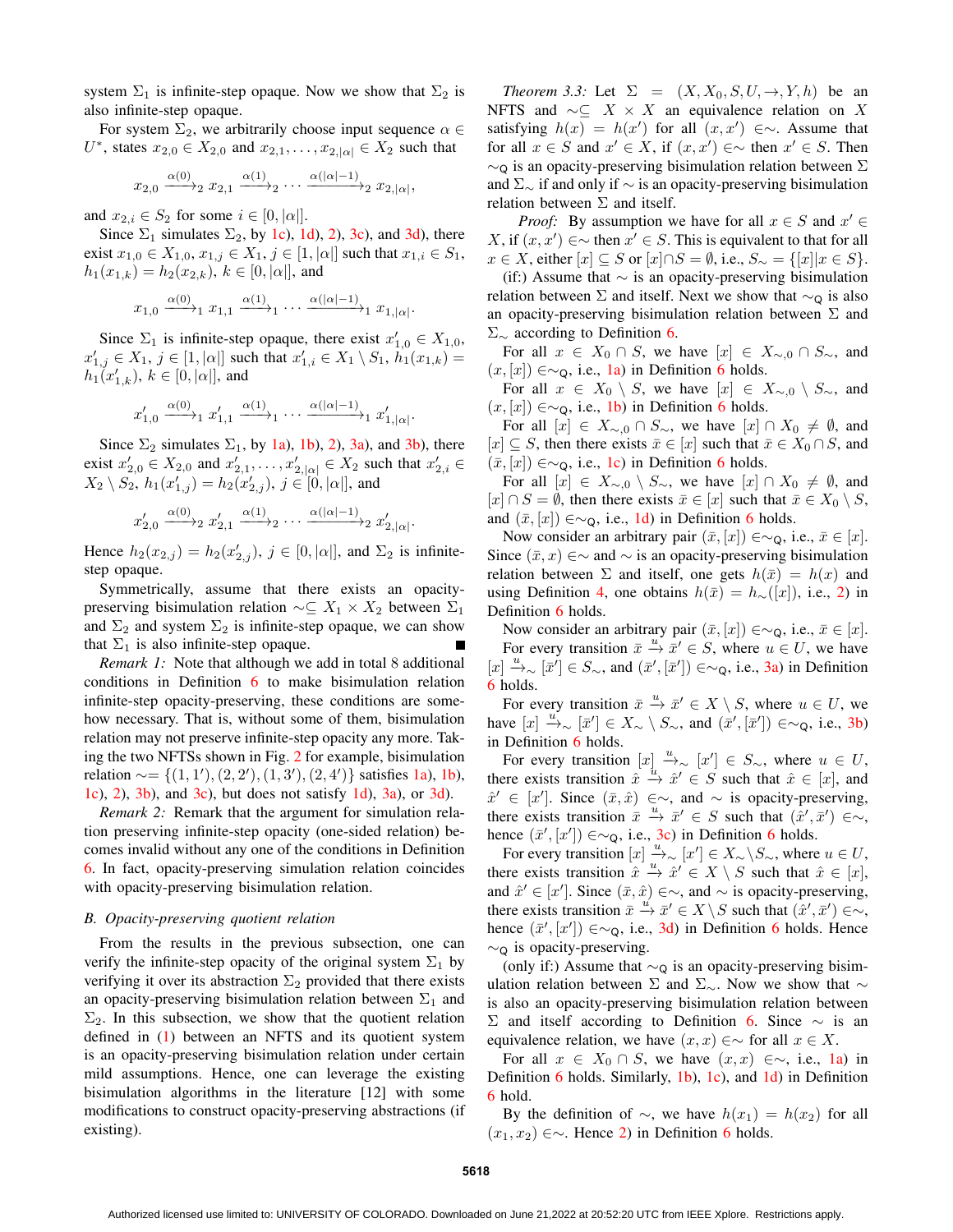system  $\Sigma_1$  is infinite-step opaque. Now we show that  $\Sigma_2$  is also infinite-step opaque.

For system  $\Sigma_2$ , we arbitrarily choose input sequence  $\alpha \in$ U<sup>\*</sup>, states  $x_{2,0} \in X_{2,0}$  and  $x_{2,1},...,x_{2,|\alpha|} \in X_2$  such that

$$
x_{2,0}
$$
  $\xrightarrow{\alpha(0)}$   $x_{2,1}$   $\xrightarrow{\alpha(1)}$   $\longrightarrow$   $\cdots$   $\xrightarrow{\alpha(|\alpha|-1)}$   $\longrightarrow$   $x_{2,|\alpha|}$ ,

and  $x_{2,i} \in S_2$  for some  $i \in [0, |\alpha|]$ .

Since  $\Sigma_1$  simulates  $\Sigma_2$ , by 1c), 1d), 2), 3c), and 3d), there exist  $x_{1,0} \in X_{1,0}, x_{1,j} \in X_1, j \in [1, |\alpha|]$  such that  $x_{1,i} \in S_1$ ,  $h_1(x_{1,k}) = h_2(x_{2,k}), k \in [0, |\alpha|],$  and

$$
x_{1,0} \xrightarrow{\alpha(0)} x_{1,1} \xrightarrow{\alpha(1)} \cdots \xrightarrow{\alpha(|\alpha|-1)} x_{1,|\alpha|}.
$$

Since  $\Sigma_1$  is infinite-step opaque, there exist  $x'_{1,0} \in X_{1,0}$ ,  $x'_{1,j} \in X_1, j \in [1, |\alpha|]$  such that  $x'_{1,i} \in X_1 \setminus S_1$ ,  $h_1(x_{1,k}) =$  $h_1(x'_{1,k}), \, k \in [0, |\alpha|],$  and

$$
x'_{1,0}
$$
  $\xrightarrow{\alpha(0)}$ <sub>1</sub>  $x'_{1,1}$   $\xrightarrow{\alpha(1)}$ <sub>1</sub>  $\cdots$   $\xrightarrow{\alpha(|\alpha|-1)}$ <sub>1</sub>  $x'_{1,|\alpha|}$ .

Since  $\Sigma_2$  simulates  $\Sigma_1$ , by 1a), 1b), 2), 3a), and 3b), there exist  $x'_{2,0} \in X_{2,0}$  and  $x'_{2,1}, \ldots, x'_{2,|\alpha|} \in X_2$  such that  $x'_{2,i} \in X_2$  $X_2 \setminus S_2$ ,  $h_1(x'_{1,j}) = h_2(x'_{2,j}), \ j \in [0,|\alpha|],$  and

$$
x_{2,0}' \xrightarrow{\alpha(0)} x_{2,1}' \xrightarrow{\alpha(1)} x \cdots \xrightarrow{\alpha(|\alpha|-1)} x_{2,|\alpha|}.
$$

Hence  $h_2(x_{2,j}) = h_2(x'_{2,j}), j \in [0, |\alpha|]$ , and  $\Sigma_2$  is infinitestep opaque.

Symmetrically, assume that there exists an opacitypreserving bisimulation relation  $\sim \subseteq X_1 \times X_2$  between  $\Sigma_1$ and  $\Sigma_2$  and system  $\Sigma_2$  is infinite-step opaque, we can show that  $\Sigma_1$  is also infinite-step opaque.

*Remark 1:* Note that although we add in total 8 additional conditions in Definition 6 to make bisimulation relation infinite-step opacity-preserving, these conditions are somehow necessary. That is, without some of them, bisimulation relation may not preserve infinite-step opacity any more. Taking the two NFTSs shown in Fig. 2 for example, bisimulation relation  $\sim = \{(1, 1'), (2, 2'), (1, 3'), (2, 4')\}$  satisfies 1a), 1b), 1c), 2), 3b), and 3c), but does not satisfy 1d), 3a), or 3d).

*Remark 2:* Remark that the argument for simulation relation preserving infinite-step opacity (one-sided relation) becomes invalid without any one of the conditions in Definition 6. In fact, opacity-preserving simulation relation coincides with opacity-preserving bisimulation relation.

### *B. Opacity-preserving quotient relation*

From the results in the previous subsection, one can verify the infinite-step opacity of the original system  $\Sigma_1$  by verifying it over its abstraction  $\Sigma_2$  provided that there exists an opacity-preserving bisimulation relation between  $\Sigma_1$  and  $\Sigma_2$ . In this subsection, we show that the quotient relation defined in (1) between an NFTS and its quotient system is an opacity-preserving bisimulation relation under certain mild assumptions. Hence, one can leverage the existing bisimulation algorithms in the literature [12] with some modifications to construct opacity-preserving abstractions (if existing).

*Theorem 3.3:* Let  $\Sigma = (X, X_0, S, U, \rightarrow, Y, h)$  be an NFTS and  $\sim \subseteq X \times X$  an equivalence relation on X satisfying  $h(x) = h(x')$  for all  $(x, x') \in \sim$ . Assume that for all  $x \in S$  and  $x' \in X$ , if  $(x, x') \in \sim$  then  $x' \in S$ . Then  $\sim_Q$  is an opacity-preserving bisimulation relation between  $\Sigma$ and  $\Sigma_{\sim}$  if and only if  $\sim$  is an opacity-preserving bisimulation relation between  $\Sigma$  and itself.

*Proof:* By assumption we have for all  $x \in S$  and  $x' \in S$ X, if  $(x, x') \in \sim$  then  $x' \in S$ . This is equivalent to that for all  $x \in X$ , either  $[x] \subseteq S$  or  $[x] \cap S = \emptyset$ , i.e.,  $S_{\sim} = \{[x] | x \in S\}$ . (if:) Assume that  $\sim$  is an opacity-preserving bisimulation relation between  $\Sigma$  and itself. Next we show that  $\sim_Q$  is also

an opacity-preserving bisimulation relation between  $\Sigma$  and Σ<sup>∼</sup> according to Definition 6.

For all  $x \in X_0 \cap S$ , we have  $[x] \in X_{\sim,0} \cap S_{\sim}$ , and  $(x, [x]) \in \sim_Q$ , i.e., 1a) in Definition 6 holds.

For all  $x \in X_0 \setminus S$ , we have  $[x] \in X_{\sim,0} \setminus S_{\sim}$ , and  $(x,[x]) \in \sim_Q$ , i.e., 1b) in Definition 6 holds.

For all  $[x] \in X_{\sim,0} \cap S_{\sim}$ , we have  $[x] \cap X_0 \neq \emptyset$ , and [x] ⊆ S, then there exists  $\bar{x} \in [x]$  such that  $\bar{x} \in X_0 \cap S$ , and  $(\bar{x}, [x]) \in \sim_Q$ , i.e., 1c) in Definition 6 holds.

For all  $[x] \in X_{\sim,0} \setminus S_{\sim}$ , we have  $[x] \cap X_0 \neq \emptyset$ , and  $[x] \cap S = \emptyset$ , then there exists  $\bar{x} \in [x]$  such that  $\bar{x} \in X_0 \setminus S$ , and  $(\bar{x}, [x]) \in \sim_Q$ , i.e., 1d) in Definition 6 holds.

Now consider an arbitrary pair  $(\bar{x}, [x]) \in \sim_0$ , i.e.,  $\bar{x} \in [x]$ . Since  $(\bar{x}, x) \in \sim$  and  $\sim$  is an opacity-preserving bisimulation relation between  $\Sigma$  and itself, one gets  $h(\bar{x}) = h(x)$  and using Definition 4, one obtains  $h(\bar{x}) = h_{\sim}([x])$ , i.e., 2) in Definition 6 holds.

Now consider an arbitrary pair  $(\bar{x}, [x]) \in \sim_0$ , i.e.,  $\bar{x} \in [x]$ .

For every transition  $\bar{x} \stackrel{u}{\rightarrow} \bar{x}' \in S$ , where  $u \in U$ , we have  $[x] \xrightarrow{u} [\bar{x}'] \in S_{\sim}$ , and  $(\bar{x}', [\bar{x}']) \in \sim_Q$ , i.e., 3a) in Definition 6 holds.

For every transition  $\bar{x} \stackrel{u}{\rightarrow} \bar{x}' \in X \setminus S$ , where  $u \in U$ , we have  $[x] \stackrel{u^*}{\rightarrow} \sim [\bar{x}'] \in X \sim \setminus S \sim$ , and  $(\bar{x}', [\bar{x}']) \in \sim_Q$ , i.e., 3b) in Definition 6 holds.

For every transition  $[x] \xrightarrow{u} [x'] \in S_{\sim}$ , where  $u \in U$ , there exists transition  $\hat{x} \stackrel{\hat{u}}{\rightarrow} \hat{x}' \in S$  such that  $\hat{x} \in [x]$ , and  $\hat{x}' \in [x']$ . Since  $(\bar{x}, \hat{x}) \in \sim$ , and  $\sim$  is opacity-preserving, there exists transition  $\bar{x} \stackrel{u}{\rightarrow} \bar{x}' \in S$  such that  $(\hat{x}', \bar{x}') \in \sim$ , hence  $(\bar{x}', [x']) \in \sim_Q$ , i.e., 3c) in Definition 6 holds.

For every transition  $[x] \xrightarrow{u} \sim [x'] \in X_{\sim} \backslash S_{\sim}$ , where  $u \in U$ , there exists transition  $\hat{x} \stackrel{u}{\rightarrow} \hat{x}' \in X \setminus S$  such that  $\hat{x} \in [x]$ , and  $\hat{x}' \in [x']$ . Since  $(\bar{x}, \hat{x}) \in \sim$ , and  $\sim$  is opacity-preserving, there exists transition  $\bar{x} \stackrel{u}{\rightarrow} \bar{x}' \in X \setminus S$  such that  $(\hat{x}', \bar{x}') \in \sim$ , hence  $(\bar{x}', [x']) \in \sim_Q$ , i.e., 3d) in Definition 6 holds. Hence  $\sim$ <sup>Q</sup> is opacity-preserving.

(only if:) Assume that  $\sim_Q$  is an opacity-preserving bisimulation relation between  $\Sigma$  and  $\Sigma_{\sim}$ . Now we show that  $\sim$ is also an opacity-preserving bisimulation relation between Σ and itself according to Definition 6. Since  $∼$  is an equivalence relation, we have  $(x, x) \in \sim$  for all  $x \in X$ .

For all  $x \in X_0 \cap S$ , we have  $(x, x) \in \sim$ , i.e., 1a) in Definition 6 holds. Similarly, 1b), 1c), and 1d) in Definition 6 hold.

By the definition of  $\sim$ , we have  $h(x_1) = h(x_2)$  for all  $(x_1, x_2) \in \sim$ . Hence 2) in Definition 6 holds.